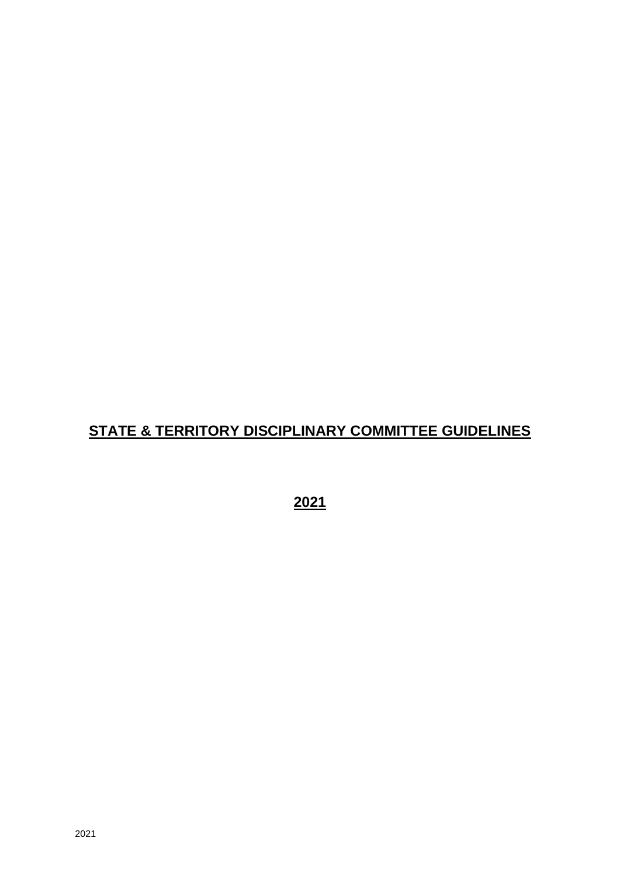# **STATE & TERRITORY DISCIPLINARY COMMITTEE GUIDELINES**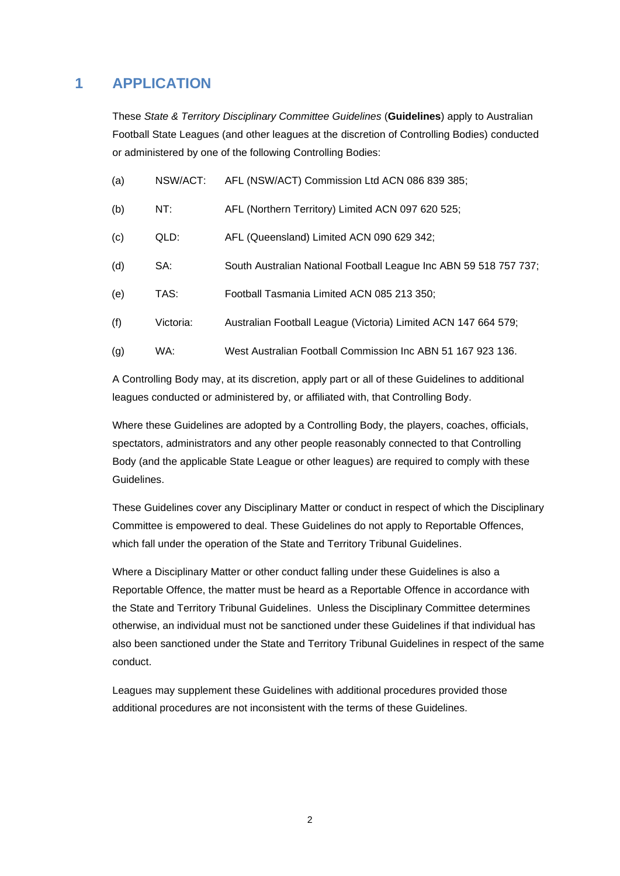## **1 APPLICATION**

These *State & Territory Disciplinary Committee Guidelines* (**Guidelines**) apply to Australian Football State Leagues (and other leagues at the discretion of Controlling Bodies) conducted or administered by one of the following Controlling Bodies:

| (a) | NSW/ACT:  | AFL (NSW/ACT) Commission Ltd ACN 086 839 385;                     |
|-----|-----------|-------------------------------------------------------------------|
| (b) | NT:       | AFL (Northern Territory) Limited ACN 097 620 525;                 |
| (c) | QLD:      | AFL (Queensland) Limited ACN 090 629 342;                         |
| (d) | SA:       | South Australian National Football League Inc ABN 59 518 757 737; |
| (e) | TAS:      | Football Tasmania Limited ACN 085 213 350;                        |
| (f) | Victoria: | Australian Football League (Victoria) Limited ACN 147 664 579;    |
| (g) | WA:       | West Australian Football Commission Inc ABN 51 167 923 136.       |
|     |           |                                                                   |

A Controlling Body may, at its discretion, apply part or all of these Guidelines to additional leagues conducted or administered by, or affiliated with, that Controlling Body.

Where these Guidelines are adopted by a Controlling Body, the players, coaches, officials, spectators, administrators and any other people reasonably connected to that Controlling Body (and the applicable State League or other leagues) are required to comply with these Guidelines.

These Guidelines cover any Disciplinary Matter or conduct in respect of which the Disciplinary Committee is empowered to deal. These Guidelines do not apply to Reportable Offences, which fall under the operation of the State and Territory Tribunal Guidelines.

Where a Disciplinary Matter or other conduct falling under these Guidelines is also a Reportable Offence, the matter must be heard as a Reportable Offence in accordance with the State and Territory Tribunal Guidelines. Unless the Disciplinary Committee determines otherwise, an individual must not be sanctioned under these Guidelines if that individual has also been sanctioned under the State and Territory Tribunal Guidelines in respect of the same conduct.

Leagues may supplement these Guidelines with additional procedures provided those additional procedures are not inconsistent with the terms of these Guidelines.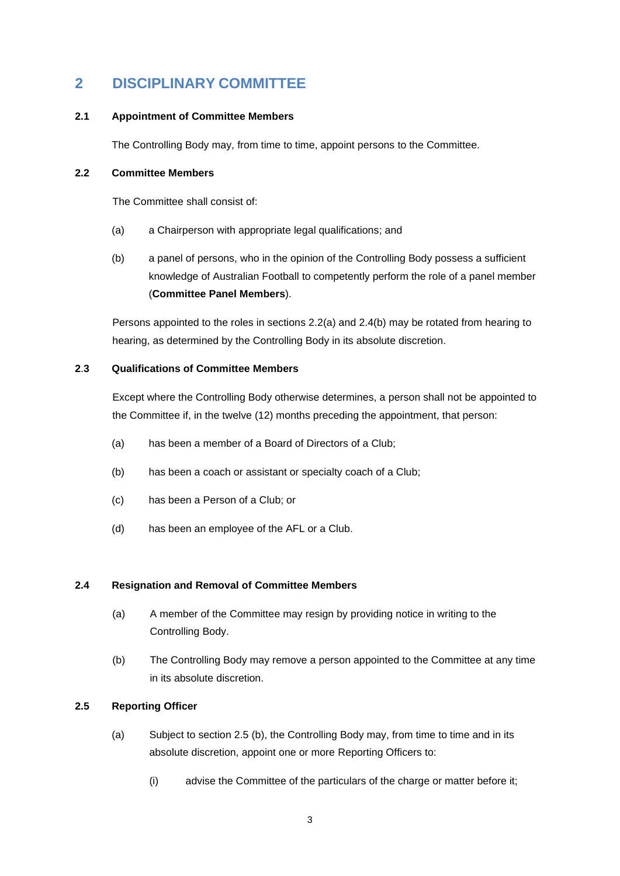## **2 DISCIPLINARY COMMITTEE**

## **2.1 Appointment of Committee Members**

The Controlling Body may, from time to time, appoint persons to the Committee.

## **2.2 Committee Members**

The Committee shall consist of:

- (a) a Chairperson with appropriate legal qualifications; and
- (b) a panel of persons, who in the opinion of the Controlling Body possess a sufficient knowledge of Australian Football to competently perform the role of a panel member (**Committee Panel Members**).

Persons appointed to the roles in sections 2.2(a) and 2.4(b) may be rotated from hearing to hearing, as determined by the Controlling Body in its absolute discretion.

## **2**.**3 Qualifications of Committee Members**

Except where the Controlling Body otherwise determines, a person shall not be appointed to the Committee if, in the twelve (12) months preceding the appointment, that person:

- (a) has been a member of a Board of Directors of a Club;
- (b) has been a coach or assistant or specialty coach of a Club;
- (c) has been a Person of a Club; or
- (d) has been an employee of the AFL or a Club.

## **2.4 Resignation and Removal of Committee Members**

- (a) A member of the Committee may resign by providing notice in writing to the Controlling Body.
- (b) The Controlling Body may remove a person appointed to the Committee at any time in its absolute discretion.

## **2.5 Reporting Officer**

- (a) Subject to section 2.5 (b), the Controlling Body may, from time to time and in its absolute discretion, appoint one or more Reporting Officers to:
	- (i) advise the Committee of the particulars of the charge or matter before it;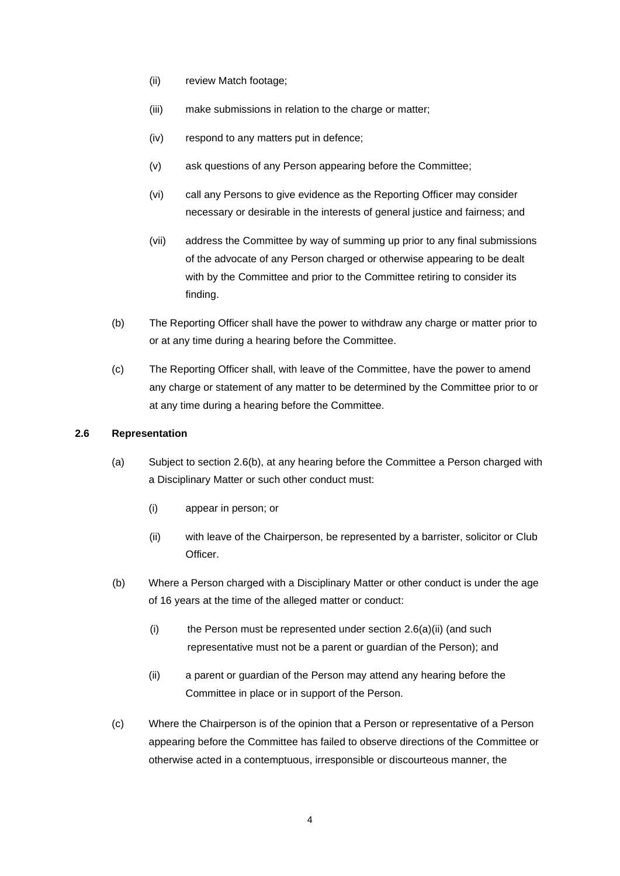- (ii) review Match footage;
- (iii) make submissions in relation to the charge or matter;
- (iv) respond to any matters put in defence;
- (v) ask questions of any Person appearing before the Committee;
- (vi) call any Persons to give evidence as the Reporting Officer may consider necessary or desirable in the interests of general justice and fairness; and
- (vii) address the Committee by way of summing up prior to any final submissions of the advocate of any Person charged or otherwise appearing to be dealt with by the Committee and prior to the Committee retiring to consider its finding.
- (b) The Reporting Officer shall have the power to withdraw any charge or matter prior to or at any time during a hearing before the Committee.
- (c) The Reporting Officer shall, with leave of the Committee, have the power to amend any charge or statement of any matter to be determined by the Committee prior to or at any time during a hearing before the Committee.

#### **2.6 Representation**

- (a) Subject to section 2.6(b), at any hearing before the Committee a Person charged with a Disciplinary Matter or such other conduct must:
	- (i) appear in person; or
	- (ii) with leave of the Chairperson, be represented by a barrister, solicitor or Club **Officer**
- (b) Where a Person charged with a Disciplinary Matter or other conduct is under the age of 16 years at the time of the alleged matter or conduct:
	- (i) the Person must be represented under section  $2.6(a)(ii)$  (and such representative must not be a parent or guardian of the Person); and
	- (ii) a parent or guardian of the Person may attend any hearing before the Committee in place or in support of the Person.
- (c) Where the Chairperson is of the opinion that a Person or representative of a Person appearing before the Committee has failed to observe directions of the Committee or otherwise acted in a contemptuous, irresponsible or discourteous manner, the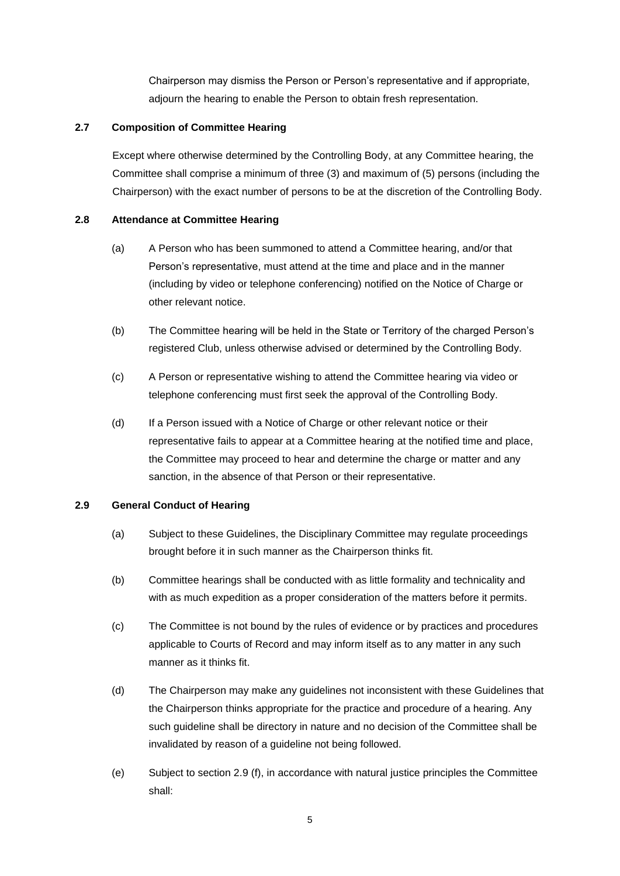Chairperson may dismiss the Person or Person's representative and if appropriate, adjourn the hearing to enable the Person to obtain fresh representation.

## **2.7 Composition of Committee Hearing**

Except where otherwise determined by the Controlling Body, at any Committee hearing, the Committee shall comprise a minimum of three (3) and maximum of (5) persons (including the Chairperson) with the exact number of persons to be at the discretion of the Controlling Body.

## **2.8 Attendance at Committee Hearing**

- (a) A Person who has been summoned to attend a Committee hearing, and/or that Person's representative, must attend at the time and place and in the manner (including by video or telephone conferencing) notified on the Notice of Charge or other relevant notice.
- (b) The Committee hearing will be held in the State or Territory of the charged Person's registered Club, unless otherwise advised or determined by the Controlling Body.
- (c) A Person or representative wishing to attend the Committee hearing via video or telephone conferencing must first seek the approval of the Controlling Body.
- (d) If a Person issued with a Notice of Charge or other relevant notice or their representative fails to appear at a Committee hearing at the notified time and place, the Committee may proceed to hear and determine the charge or matter and any sanction, in the absence of that Person or their representative.

## **2.9 General Conduct of Hearing**

- (a) Subject to these Guidelines, the Disciplinary Committee may regulate proceedings brought before it in such manner as the Chairperson thinks fit.
- (b) Committee hearings shall be conducted with as little formality and technicality and with as much expedition as a proper consideration of the matters before it permits.
- (c) The Committee is not bound by the rules of evidence or by practices and procedures applicable to Courts of Record and may inform itself as to any matter in any such manner as it thinks fit.
- (d) The Chairperson may make any guidelines not inconsistent with these Guidelines that the Chairperson thinks appropriate for the practice and procedure of a hearing. Any such guideline shall be directory in nature and no decision of the Committee shall be invalidated by reason of a guideline not being followed.
- (e) Subject to section 2.9 (f), in accordance with natural justice principles the Committee shall: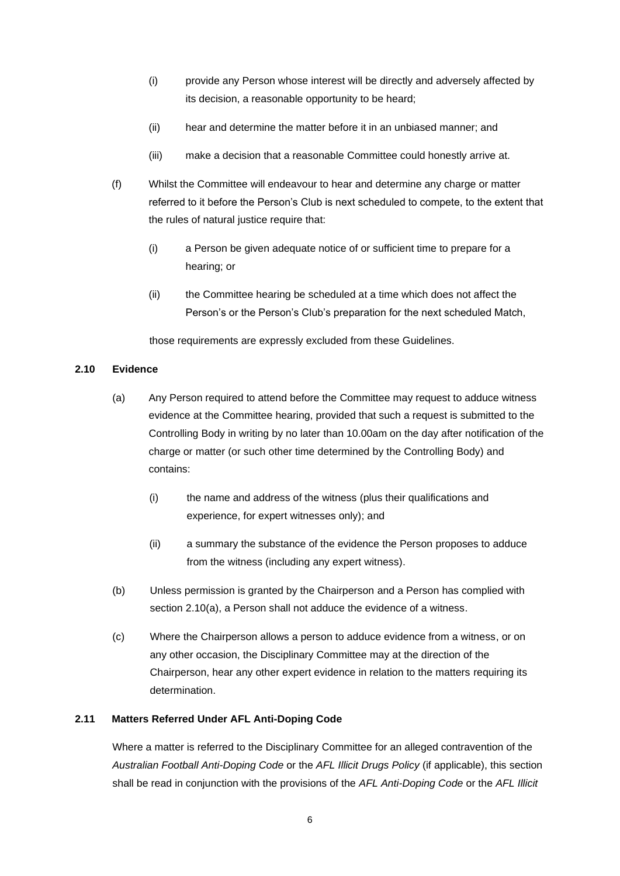- (i) provide any Person whose interest will be directly and adversely affected by its decision, a reasonable opportunity to be heard;
- (ii) hear and determine the matter before it in an unbiased manner; and
- (iii) make a decision that a reasonable Committee could honestly arrive at.
- (f) Whilst the Committee will endeavour to hear and determine any charge or matter referred to it before the Person's Club is next scheduled to compete, to the extent that the rules of natural justice require that:
	- (i) a Person be given adequate notice of or sufficient time to prepare for a hearing; or
	- (ii) the Committee hearing be scheduled at a time which does not affect the Person's or the Person's Club's preparation for the next scheduled Match,

those requirements are expressly excluded from these Guidelines.

## **2.10 Evidence**

- (a) Any Person required to attend before the Committee may request to adduce witness evidence at the Committee hearing, provided that such a request is submitted to the Controlling Body in writing by no later than 10.00am on the day after notification of the charge or matter (or such other time determined by the Controlling Body) and contains:
	- (i) the name and address of the witness (plus their qualifications and experience, for expert witnesses only); and
	- (ii) a summary the substance of the evidence the Person proposes to adduce from the witness (including any expert witness).
- (b) Unless permission is granted by the Chairperson and a Person has complied with section 2.10(a), a Person shall not adduce the evidence of a witness.
- (c) Where the Chairperson allows a person to adduce evidence from a witness, or on any other occasion, the Disciplinary Committee may at the direction of the Chairperson, hear any other expert evidence in relation to the matters requiring its determination.

## **2.11 Matters Referred Under AFL Anti-Doping Code**

Where a matter is referred to the Disciplinary Committee for an alleged contravention of the *Australian Football Anti-Doping Code* or the *AFL Illicit Drugs Policy* (if applicable), this section shall be read in conjunction with the provisions of the *AFL Anti-Doping Code* or the *AFL Illicit*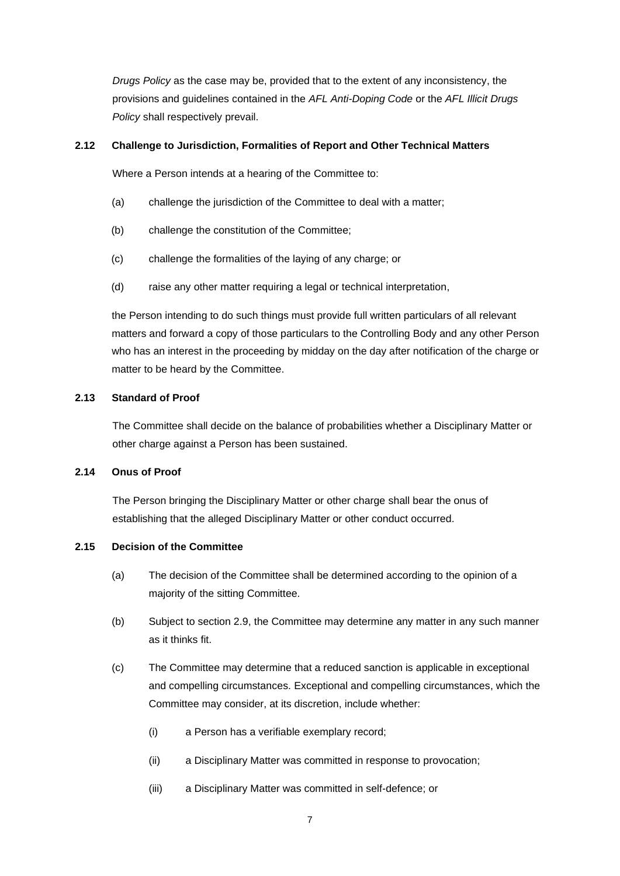*Drugs Policy* as the case may be, provided that to the extent of any inconsistency, the provisions and guidelines contained in the *AFL Anti-Doping Code* or the *AFL Illicit Drugs Policy* shall respectively prevail.

## **2.12 Challenge to Jurisdiction, Formalities of Report and Other Technical Matters**

Where a Person intends at a hearing of the Committee to:

- (a) challenge the jurisdiction of the Committee to deal with a matter;
- (b) challenge the constitution of the Committee;
- (c) challenge the formalities of the laying of any charge; or
- (d) raise any other matter requiring a legal or technical interpretation,

the Person intending to do such things must provide full written particulars of all relevant matters and forward a copy of those particulars to the Controlling Body and any other Person who has an interest in the proceeding by midday on the day after notification of the charge or matter to be heard by the Committee.

## **2.13 Standard of Proof**

The Committee shall decide on the balance of probabilities whether a Disciplinary Matter or other charge against a Person has been sustained.

## **2.14 Onus of Proof**

The Person bringing the Disciplinary Matter or other charge shall bear the onus of establishing that the alleged Disciplinary Matter or other conduct occurred.

## **2.15 Decision of the Committee**

- (a) The decision of the Committee shall be determined according to the opinion of a majority of the sitting Committee.
- (b) Subject to section 2.9, the Committee may determine any matter in any such manner as it thinks fit.
- (c) The Committee may determine that a reduced sanction is applicable in exceptional and compelling circumstances. Exceptional and compelling circumstances, which the Committee may consider, at its discretion, include whether:
	- (i) a Person has a verifiable exemplary record;
	- (ii) a Disciplinary Matter was committed in response to provocation;
	- (iii) a Disciplinary Matter was committed in self-defence; or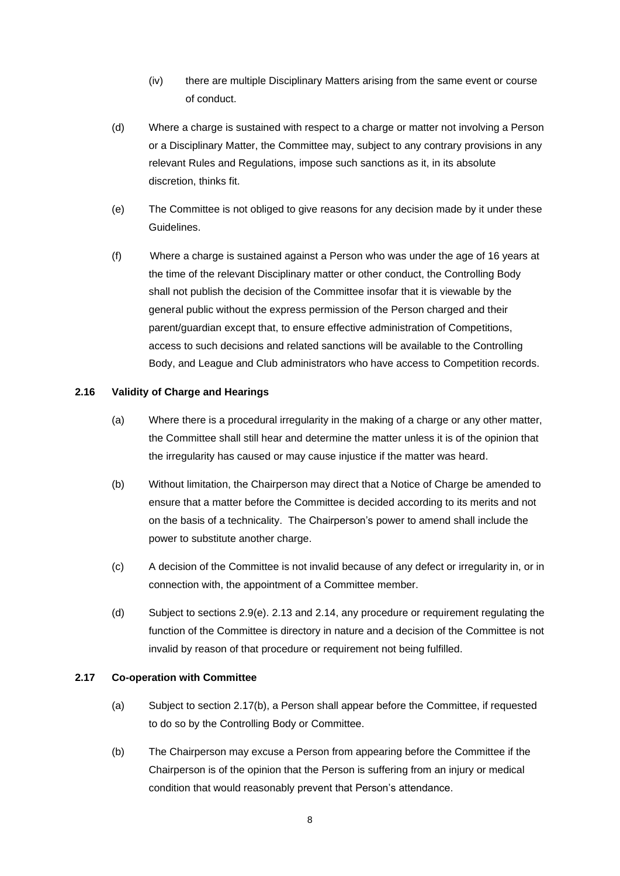- (iv) there are multiple Disciplinary Matters arising from the same event or course of conduct.
- (d) Where a charge is sustained with respect to a charge or matter not involving a Person or a Disciplinary Matter, the Committee may, subject to any contrary provisions in any relevant Rules and Regulations, impose such sanctions as it, in its absolute discretion, thinks fit.
- (e) The Committee is not obliged to give reasons for any decision made by it under these Guidelines.
- (f) Where a charge is sustained against a Person who was under the age of 16 years at the time of the relevant Disciplinary matter or other conduct, the Controlling Body shall not publish the decision of the Committee insofar that it is viewable by the general public without the express permission of the Person charged and their parent/guardian except that, to ensure effective administration of Competitions, access to such decisions and related sanctions will be available to the Controlling Body, and League and Club administrators who have access to Competition records.

#### **2.16 Validity of Charge and Hearings**

- (a) Where there is a procedural irregularity in the making of a charge or any other matter, the Committee shall still hear and determine the matter unless it is of the opinion that the irregularity has caused or may cause injustice if the matter was heard.
- (b) Without limitation, the Chairperson may direct that a Notice of Charge be amended to ensure that a matter before the Committee is decided according to its merits and not on the basis of a technicality. The Chairperson's power to amend shall include the power to substitute another charge.
- (c) A decision of the Committee is not invalid because of any defect or irregularity in, or in connection with, the appointment of a Committee member.
- (d) Subject to sections  $2.9(e)$ ,  $2.13$  and  $2.14$ , any procedure or requirement regulating the function of the Committee is directory in nature and a decision of the Committee is not invalid by reason of that procedure or requirement not being fulfilled.

#### **2.17 Co-operation with Committee**

- (a) Subject to section 2.17(b), a Person shall appear before the Committee, if requested to do so by the Controlling Body or Committee.
- (b) The Chairperson may excuse a Person from appearing before the Committee if the Chairperson is of the opinion that the Person is suffering from an injury or medical condition that would reasonably prevent that Person's attendance.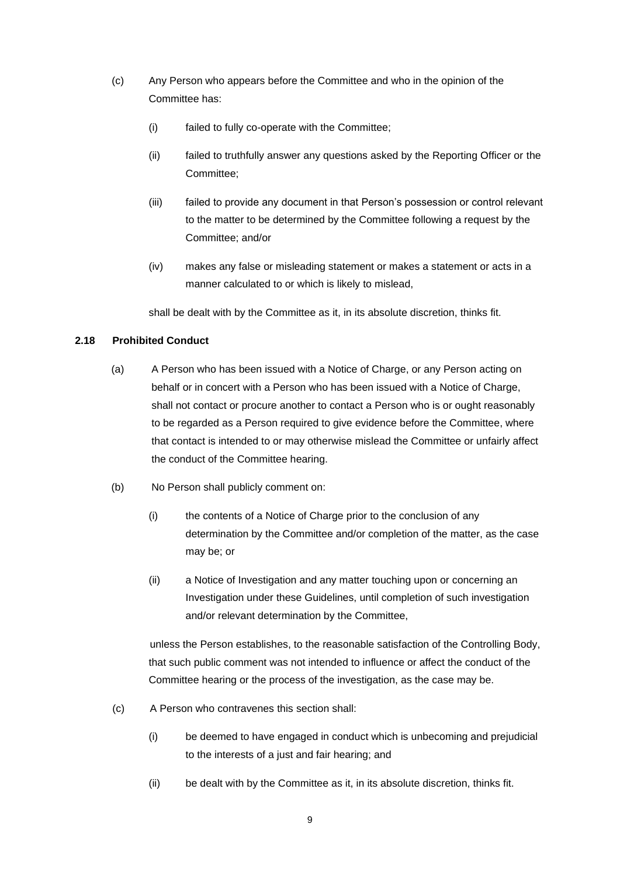- (c) Any Person who appears before the Committee and who in the opinion of the Committee has:
	- (i) failed to fully co-operate with the Committee;
	- (ii) failed to truthfully answer any questions asked by the Reporting Officer or the Committee;
	- (iii) failed to provide any document in that Person's possession or control relevant to the matter to be determined by the Committee following a request by the Committee; and/or
	- (iv) makes any false or misleading statement or makes a statement or acts in a manner calculated to or which is likely to mislead,

shall be dealt with by the Committee as it, in its absolute discretion, thinks fit.

## **2.18 Prohibited Conduct**

- (a) A Person who has been issued with a Notice of Charge, or any Person acting on behalf or in concert with a Person who has been issued with a Notice of Charge, shall not contact or procure another to contact a Person who is or ought reasonably to be regarded as a Person required to give evidence before the Committee, where that contact is intended to or may otherwise mislead the Committee or unfairly affect the conduct of the Committee hearing.
- (b) No Person shall publicly comment on:
	- (i) the contents of a Notice of Charge prior to the conclusion of any determination by the Committee and/or completion of the matter, as the case may be; or
	- (ii) a Notice of Investigation and any matter touching upon or concerning an Investigation under these Guidelines, until completion of such investigation and/or relevant determination by the Committee,

unless the Person establishes, to the reasonable satisfaction of the Controlling Body, that such public comment was not intended to influence or affect the conduct of the Committee hearing or the process of the investigation, as the case may be.

- (c) A Person who contravenes this section shall:
	- (i) be deemed to have engaged in conduct which is unbecoming and prejudicial to the interests of a just and fair hearing; and
	- (ii) be dealt with by the Committee as it, in its absolute discretion, thinks fit.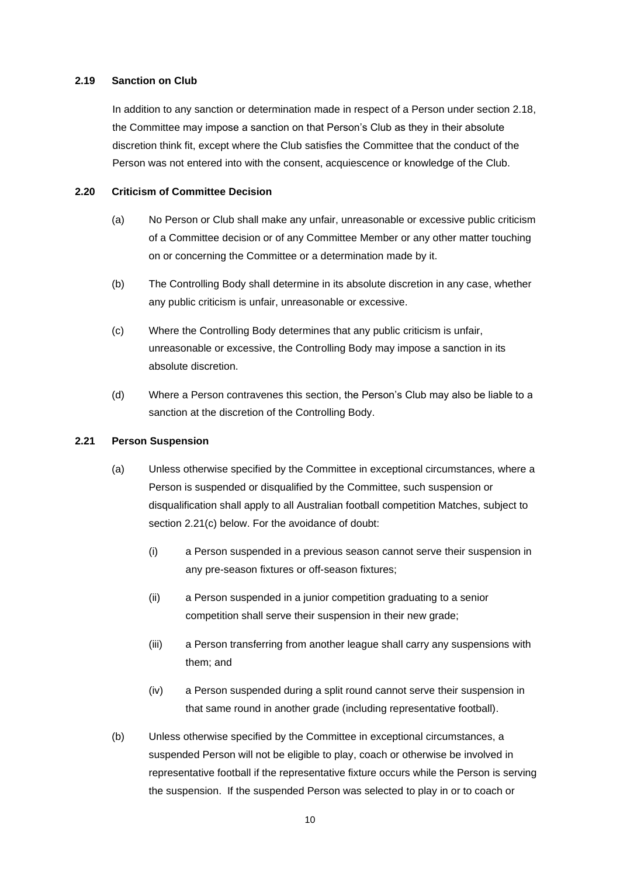#### **2.19 Sanction on Club**

In addition to any sanction or determination made in respect of a Person under section 2.18, the Committee may impose a sanction on that Person's Club as they in their absolute discretion think fit, except where the Club satisfies the Committee that the conduct of the Person was not entered into with the consent, acquiescence or knowledge of the Club.

#### **2.20 Criticism of Committee Decision**

- (a) No Person or Club shall make any unfair, unreasonable or excessive public criticism of a Committee decision or of any Committee Member or any other matter touching on or concerning the Committee or a determination made by it.
- (b) The Controlling Body shall determine in its absolute discretion in any case, whether any public criticism is unfair, unreasonable or excessive.
- (c) Where the Controlling Body determines that any public criticism is unfair, unreasonable or excessive, the Controlling Body may impose a sanction in its absolute discretion.
- (d) Where a Person contravenes this section, the Person's Club may also be liable to a sanction at the discretion of the Controlling Body.

## **2.21 Person Suspension**

- (a) Unless otherwise specified by the Committee in exceptional circumstances, where a Person is suspended or disqualified by the Committee, such suspension or disqualification shall apply to all Australian football competition Matches, subject to section 2.21(c) below. For the avoidance of doubt:
	- (i) a Person suspended in a previous season cannot serve their suspension in any pre-season fixtures or off-season fixtures;
	- (ii) a Person suspended in a junior competition graduating to a senior competition shall serve their suspension in their new grade;
	- (iii) a Person transferring from another league shall carry any suspensions with them; and
	- (iv) a Person suspended during a split round cannot serve their suspension in that same round in another grade (including representative football).
- (b) Unless otherwise specified by the Committee in exceptional circumstances, a suspended Person will not be eligible to play, coach or otherwise be involved in representative football if the representative fixture occurs while the Person is serving the suspension. If the suspended Person was selected to play in or to coach or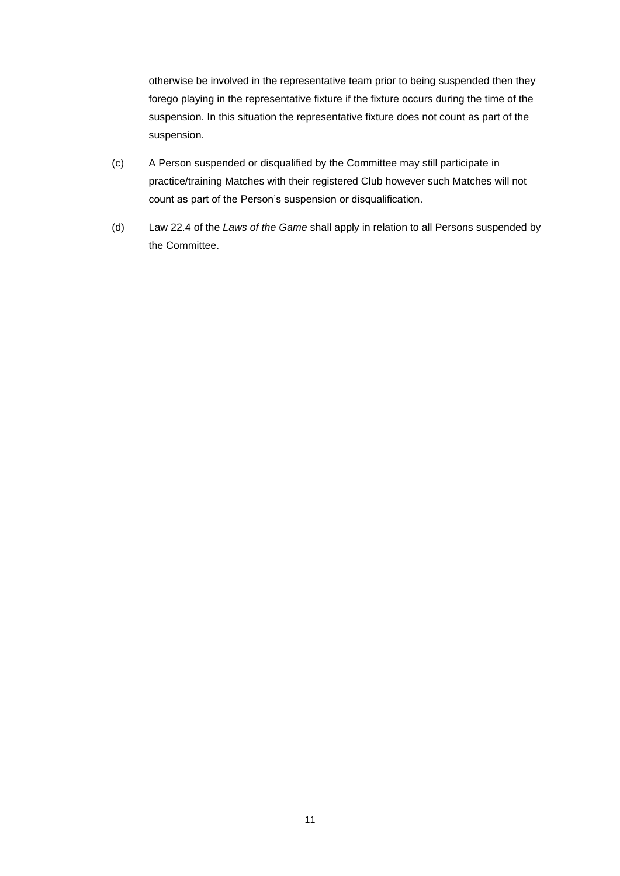otherwise be involved in the representative team prior to being suspended then they forego playing in the representative fixture if the fixture occurs during the time of the suspension. In this situation the representative fixture does not count as part of the suspension.

- (c) A Person suspended or disqualified by the Committee may still participate in practice/training Matches with their registered Club however such Matches will not count as part of the Person's suspension or disqualification.
- (d) Law 22.4 of the *Laws of the Game* shall apply in relation to all Persons suspended by the Committee.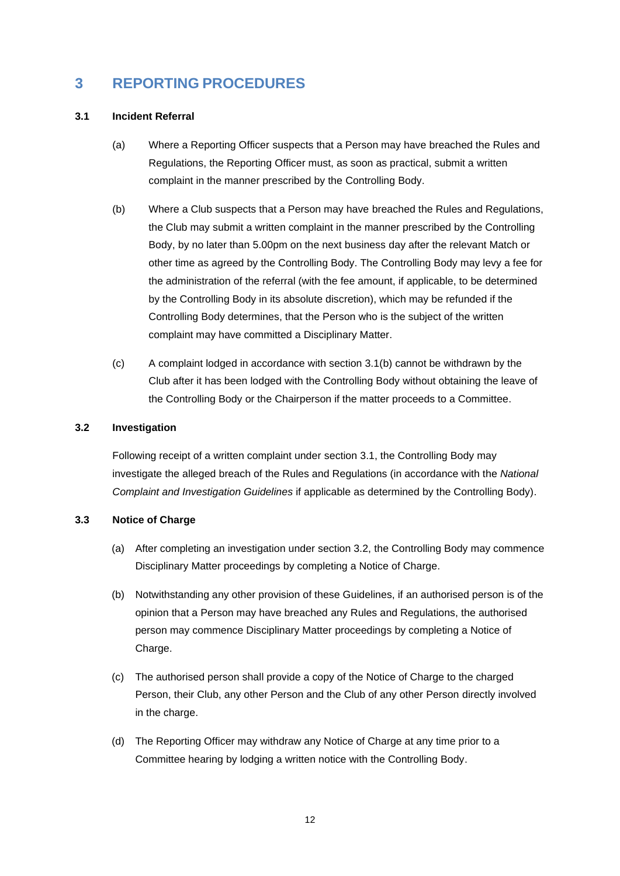## **3 REPORTING PROCEDURES**

#### **3.1 Incident Referral**

- (a) Where a Reporting Officer suspects that a Person may have breached the Rules and Regulations, the Reporting Officer must, as soon as practical, submit a written complaint in the manner prescribed by the Controlling Body.
- (b) Where a Club suspects that a Person may have breached the Rules and Regulations, the Club may submit a written complaint in the manner prescribed by the Controlling Body, by no later than 5.00pm on the next business day after the relevant Match or other time as agreed by the Controlling Body. The Controlling Body may levy a fee for the administration of the referral (with the fee amount, if applicable, to be determined by the Controlling Body in its absolute discretion), which may be refunded if the Controlling Body determines, that the Person who is the subject of the written complaint may have committed a Disciplinary Matter.
- (c) A complaint lodged in accordance with section 3.1(b) cannot be withdrawn by the Club after it has been lodged with the Controlling Body without obtaining the leave of the Controlling Body or the Chairperson if the matter proceeds to a Committee.

#### **3.2 Investigation**

Following receipt of a written complaint under section 3.1, the Controlling Body may investigate the alleged breach of the Rules and Regulations (in accordance with the *National Complaint and Investigation Guidelines* if applicable as determined by the Controlling Body).

## **3.3 Notice of Charge**

- (a) After completing an investigation under section 3.2, the Controlling Body may commence Disciplinary Matter proceedings by completing a Notice of Charge.
- (b) Notwithstanding any other provision of these Guidelines, if an authorised person is of the opinion that a Person may have breached any Rules and Regulations, the authorised person may commence Disciplinary Matter proceedings by completing a Notice of Charge.
- (c) The authorised person shall provide a copy of the Notice of Charge to the charged Person, their Club, any other Person and the Club of any other Person directly involved in the charge.
- (d) The Reporting Officer may withdraw any Notice of Charge at any time prior to a Committee hearing by lodging a written notice with the Controlling Body.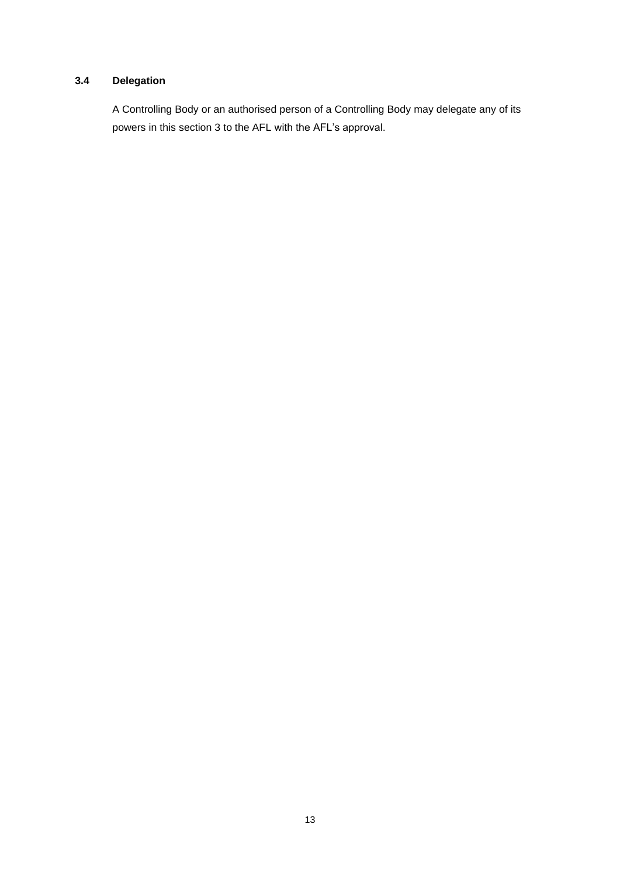## **3.4 Delegation**

A Controlling Body or an authorised person of a Controlling Body may delegate any of its powers in this section 3 to the AFL with the AFL's approval.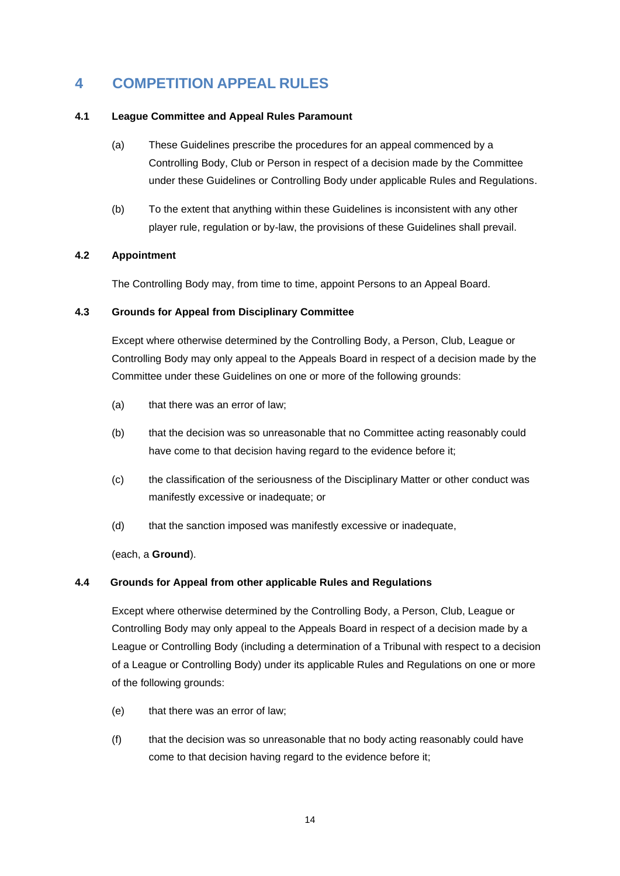## **4 COMPETITION APPEAL RULES**

## **4.1 League Committee and Appeal Rules Paramount**

- (a) These Guidelines prescribe the procedures for an appeal commenced by a Controlling Body, Club or Person in respect of a decision made by the Committee under these Guidelines or Controlling Body under applicable Rules and Regulations.
- (b) To the extent that anything within these Guidelines is inconsistent with any other player rule, regulation or by-law, the provisions of these Guidelines shall prevail.

## **4.2 Appointment**

The Controlling Body may, from time to time, appoint Persons to an Appeal Board.

## **4.3 Grounds for Appeal from Disciplinary Committee**

Except where otherwise determined by the Controlling Body, a Person, Club, League or Controlling Body may only appeal to the Appeals Board in respect of a decision made by the Committee under these Guidelines on one or more of the following grounds:

- (a) that there was an error of law;
- (b) that the decision was so unreasonable that no Committee acting reasonably could have come to that decision having regard to the evidence before it;
- (c) the classification of the seriousness of the Disciplinary Matter or other conduct was manifestly excessive or inadequate; or
- (d) that the sanction imposed was manifestly excessive or inadequate,

(each, a **Ground**).

## **4.4 Grounds for Appeal from other applicable Rules and Regulations**

Except where otherwise determined by the Controlling Body, a Person, Club, League or Controlling Body may only appeal to the Appeals Board in respect of a decision made by a League or Controlling Body (including a determination of a Tribunal with respect to a decision of a League or Controlling Body) under its applicable Rules and Regulations on one or more of the following grounds:

- (e) that there was an error of law;
- (f) that the decision was so unreasonable that no body acting reasonably could have come to that decision having regard to the evidence before it;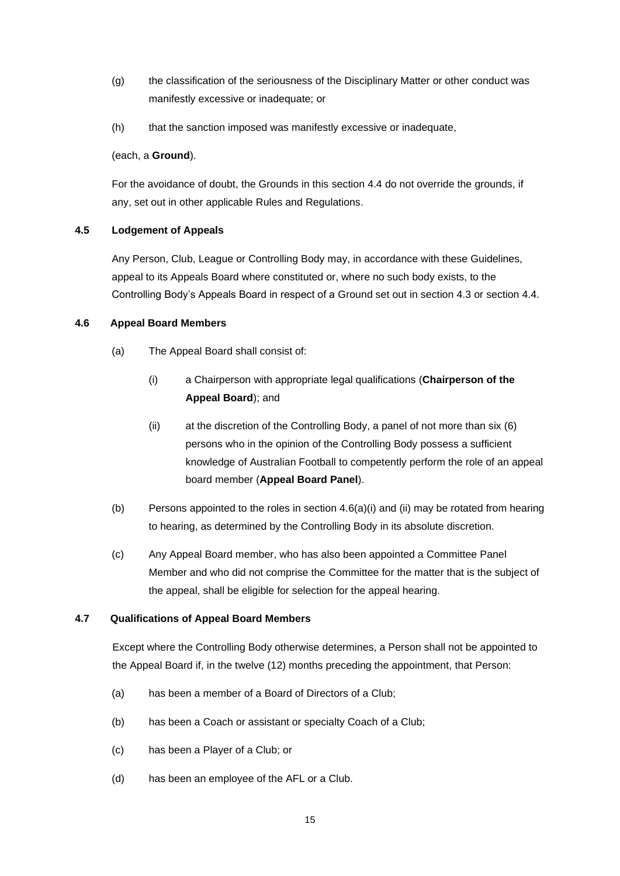- (g) the classification of the seriousness of the Disciplinary Matter or other conduct was manifestly excessive or inadequate; or
- (h) that the sanction imposed was manifestly excessive or inadequate,

## (each, a **Ground**).

For the avoidance of doubt, the Grounds in this section 4.4 do not override the grounds, if any, set out in other applicable Rules and Regulations.

## **4.5 Lodgement of Appeals**

Any Person, Club, League or Controlling Body may, in accordance with these Guidelines, appeal to its Appeals Board where constituted or, where no such body exists, to the Controlling Body's Appeals Board in respect of a Ground set out in section 4.3 or section 4.4.

## **4.6 Appeal Board Members**

- (a) The Appeal Board shall consist of:
	- (i) a Chairperson with appropriate legal qualifications (**Chairperson of the Appeal Board**); and
	- (ii) at the discretion of the Controlling Body, a panel of not more than six (6) persons who in the opinion of the Controlling Body possess a sufficient knowledge of Australian Football to competently perform the role of an appeal board member (**Appeal Board Panel**).
- (b) Persons appointed to the roles in section  $4.6(a)(i)$  and (ii) may be rotated from hearing to hearing, as determined by the Controlling Body in its absolute discretion.
- (c) Any Appeal Board member, who has also been appointed a Committee Panel Member and who did not comprise the Committee for the matter that is the subject of the appeal, shall be eligible for selection for the appeal hearing.

## **4.7 Qualifications of Appeal Board Members**

Except where the Controlling Body otherwise determines, a Person shall not be appointed to the Appeal Board if, in the twelve (12) months preceding the appointment, that Person:

- (a) has been a member of a Board of Directors of a Club;
- (b) has been a Coach or assistant or specialty Coach of a Club;
- (c) has been a Player of a Club; or
- (d) has been an employee of the AFL or a Club.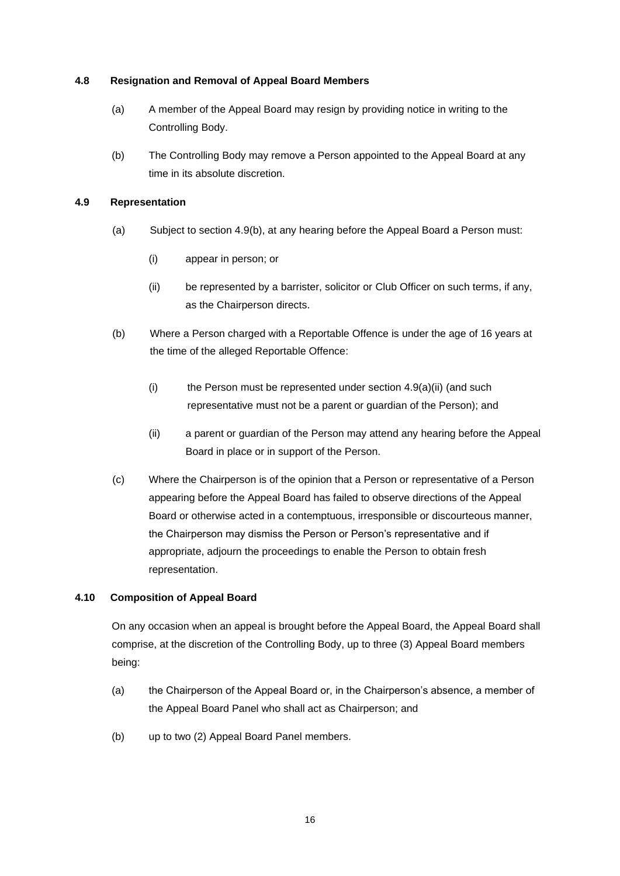## **4.8 Resignation and Removal of Appeal Board Members**

- (a) A member of the Appeal Board may resign by providing notice in writing to the Controlling Body.
- (b) The Controlling Body may remove a Person appointed to the Appeal Board at any time in its absolute discretion.

## **4.9 Representation**

- (a) Subject to section 4.9(b), at any hearing before the Appeal Board a Person must:
	- (i) appear in person; or
	- (ii) be represented by a barrister, solicitor or Club Officer on such terms, if any, as the Chairperson directs.
- (b) Where a Person charged with a Reportable Offence is under the age of 16 years at the time of the alleged Reportable Offence:
	- (i) the Person must be represented under section  $4.9(a)(ii)$  (and such representative must not be a parent or guardian of the Person); and
	- (ii) a parent or guardian of the Person may attend any hearing before the Appeal Board in place or in support of the Person.
- (c) Where the Chairperson is of the opinion that a Person or representative of a Person appearing before the Appeal Board has failed to observe directions of the Appeal Board or otherwise acted in a contemptuous, irresponsible or discourteous manner, the Chairperson may dismiss the Person or Person's representative and if appropriate, adjourn the proceedings to enable the Person to obtain fresh representation.

## **4.10 Composition of Appeal Board**

On any occasion when an appeal is brought before the Appeal Board, the Appeal Board shall comprise, at the discretion of the Controlling Body, up to three (3) Appeal Board members being:

- (a) the Chairperson of the Appeal Board or, in the Chairperson's absence, a member of the Appeal Board Panel who shall act as Chairperson; and
- (b) up to two (2) Appeal Board Panel members.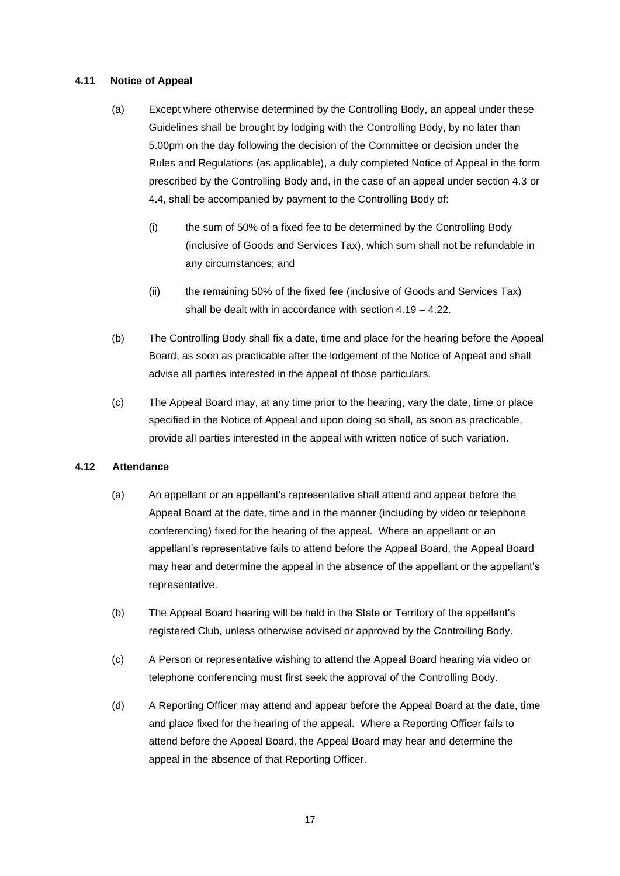## **4.11 Notice of Appeal**

- (a) Except where otherwise determined by the Controlling Body, an appeal under these Guidelines shall be brought by lodging with the Controlling Body, by no later than 5.00pm on the day following the decision of the Committee or decision under the Rules and Regulations (as applicable), a duly completed Notice of Appeal in the form prescribed by the Controlling Body and, in the case of an appeal under section 4.3 or 4.4, shall be accompanied by payment to the Controlling Body of:
	- (i) the sum of 50% of a fixed fee to be determined by the Controlling Body (inclusive of Goods and Services Tax), which sum shall not be refundable in any circumstances; and
	- (ii) the remaining 50% of the fixed fee (inclusive of Goods and Services Tax) shall be dealt with in accordance with section 4.19 – 4.22.
- (b) The Controlling Body shall fix a date, time and place for the hearing before the Appeal Board, as soon as practicable after the lodgement of the Notice of Appeal and shall advise all parties interested in the appeal of those particulars.
- (c) The Appeal Board may, at any time prior to the hearing, vary the date, time or place specified in the Notice of Appeal and upon doing so shall, as soon as practicable, provide all parties interested in the appeal with written notice of such variation.

## **4.12 Attendance**

- (a) An appellant or an appellant's representative shall attend and appear before the Appeal Board at the date, time and in the manner (including by video or telephone conferencing) fixed for the hearing of the appeal. Where an appellant or an appellant's representative fails to attend before the Appeal Board, the Appeal Board may hear and determine the appeal in the absence of the appellant or the appellant's representative.
- (b) The Appeal Board hearing will be held in the State or Territory of the appellant's registered Club, unless otherwise advised or approved by the Controlling Body.
- (c) A Person or representative wishing to attend the Appeal Board hearing via video or telephone conferencing must first seek the approval of the Controlling Body.
- (d) A Reporting Officer may attend and appear before the Appeal Board at the date, time and place fixed for the hearing of the appeal. Where a Reporting Officer fails to attend before the Appeal Board, the Appeal Board may hear and determine the appeal in the absence of that Reporting Officer.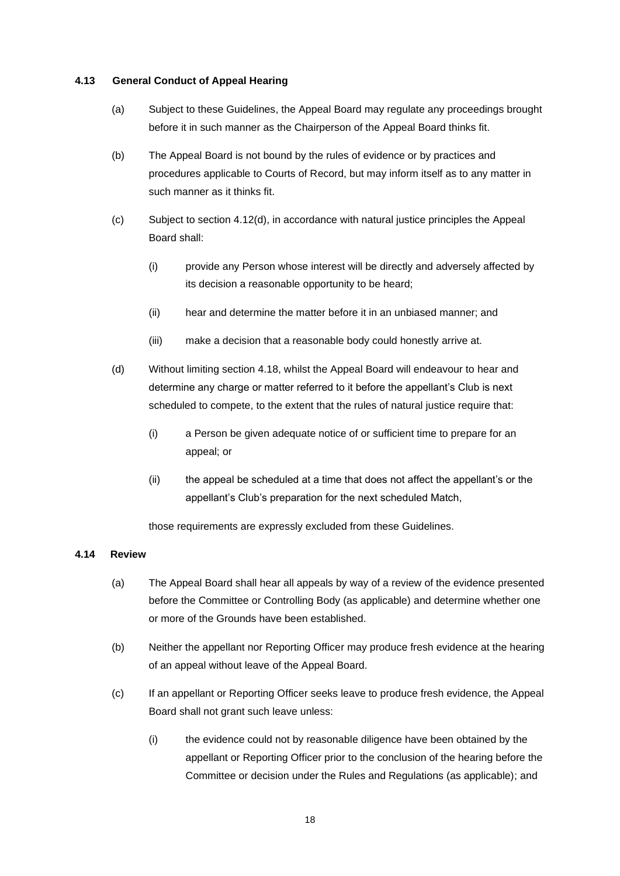#### **4.13 General Conduct of Appeal Hearing**

- (a) Subject to these Guidelines, the Appeal Board may regulate any proceedings brought before it in such manner as the Chairperson of the Appeal Board thinks fit.
- (b) The Appeal Board is not bound by the rules of evidence or by practices and procedures applicable to Courts of Record, but may inform itself as to any matter in such manner as it thinks fit.
- (c) Subject to section 4.12(d), in accordance with natural justice principles the Appeal Board shall:
	- (i) provide any Person whose interest will be directly and adversely affected by its decision a reasonable opportunity to be heard;
	- (ii) hear and determine the matter before it in an unbiased manner; and
	- (iii) make a decision that a reasonable body could honestly arrive at.
- (d) Without limiting section 4.18, whilst the Appeal Board will endeavour to hear and determine any charge or matter referred to it before the appellant's Club is next scheduled to compete, to the extent that the rules of natural justice require that:
	- (i) a Person be given adequate notice of or sufficient time to prepare for an appeal; or
	- (ii) the appeal be scheduled at a time that does not affect the appellant's or the appellant's Club's preparation for the next scheduled Match,

those requirements are expressly excluded from these Guidelines.

## **4.14 Review**

- (a) The Appeal Board shall hear all appeals by way of a review of the evidence presented before the Committee or Controlling Body (as applicable) and determine whether one or more of the Grounds have been established.
- (b) Neither the appellant nor Reporting Officer may produce fresh evidence at the hearing of an appeal without leave of the Appeal Board.
- (c) If an appellant or Reporting Officer seeks leave to produce fresh evidence, the Appeal Board shall not grant such leave unless:
	- (i) the evidence could not by reasonable diligence have been obtained by the appellant or Reporting Officer prior to the conclusion of the hearing before the Committee or decision under the Rules and Regulations (as applicable); and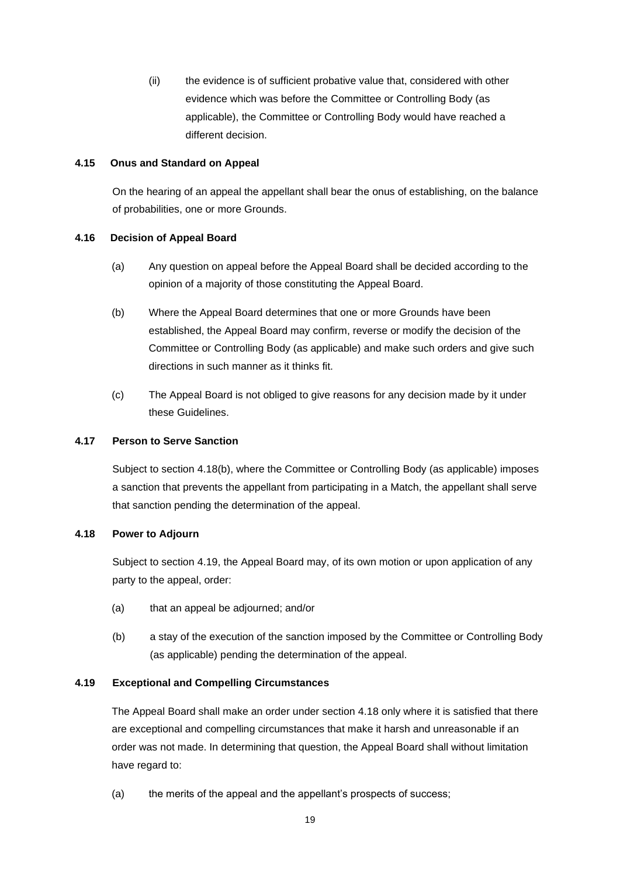(ii) the evidence is of sufficient probative value that, considered with other evidence which was before the Committee or Controlling Body (as applicable), the Committee or Controlling Body would have reached a different decision.

## **4.15 Onus and Standard on Appeal**

On the hearing of an appeal the appellant shall bear the onus of establishing, on the balance of probabilities, one or more Grounds.

## **4.16 Decision of Appeal Board**

- (a) Any question on appeal before the Appeal Board shall be decided according to the opinion of a majority of those constituting the Appeal Board.
- (b) Where the Appeal Board determines that one or more Grounds have been established, the Appeal Board may confirm, reverse or modify the decision of the Committee or Controlling Body (as applicable) and make such orders and give such directions in such manner as it thinks fit.
- (c) The Appeal Board is not obliged to give reasons for any decision made by it under these Guidelines.

## **4.17 Person to Serve Sanction**

Subject to section 4.18(b), where the Committee or Controlling Body (as applicable) imposes a sanction that prevents the appellant from participating in a Match, the appellant shall serve that sanction pending the determination of the appeal.

## **4.18 Power to Adjourn**

Subject to section 4.19, the Appeal Board may, of its own motion or upon application of any party to the appeal, order:

- (a) that an appeal be adjourned; and/or
- (b) a stay of the execution of the sanction imposed by the Committee or Controlling Body (as applicable) pending the determination of the appeal.

## **4.19 Exceptional and Compelling Circumstances**

The Appeal Board shall make an order under section 4.18 only where it is satisfied that there are exceptional and compelling circumstances that make it harsh and unreasonable if an order was not made. In determining that question, the Appeal Board shall without limitation have regard to:

(a) the merits of the appeal and the appellant's prospects of success;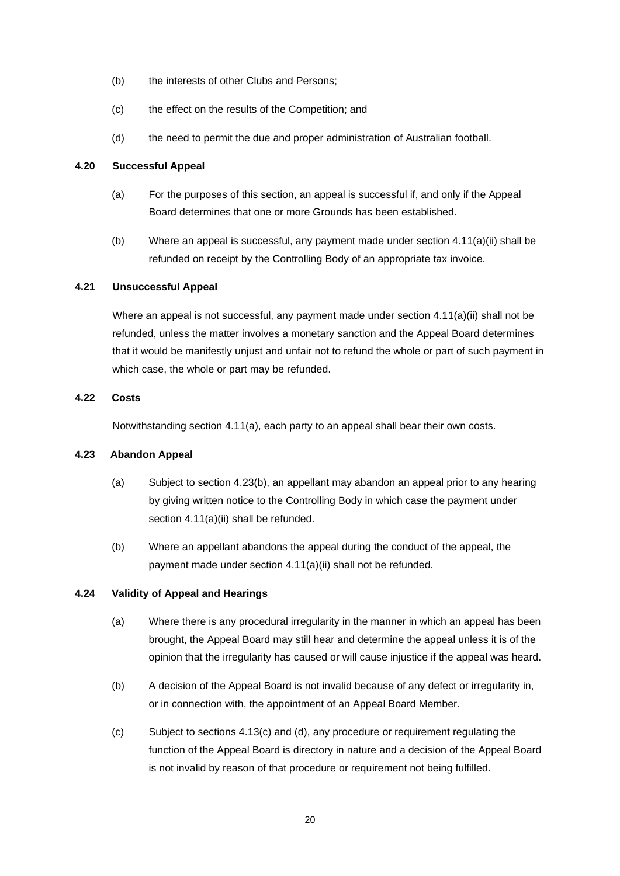- (b) the interests of other Clubs and Persons;
- (c) the effect on the results of the Competition; and
- (d) the need to permit the due and proper administration of Australian football.

## **4.20 Successful Appeal**

- (a) For the purposes of this section, an appeal is successful if, and only if the Appeal Board determines that one or more Grounds has been established.
- (b) Where an appeal is successful, any payment made under section 4.11(a)(ii) shall be refunded on receipt by the Controlling Body of an appropriate tax invoice.

#### **4.21 Unsuccessful Appeal**

Where an appeal is not successful, any payment made under section 4.11(a)(ii) shall not be refunded, unless the matter involves a monetary sanction and the Appeal Board determines that it would be manifestly unjust and unfair not to refund the whole or part of such payment in which case, the whole or part may be refunded.

#### **4.22 Costs**

Notwithstanding section 4.11(a), each party to an appeal shall bear their own costs.

## **4.23 Abandon Appeal**

- (a) Subject to section 4.23(b), an appellant may abandon an appeal prior to any hearing by giving written notice to the Controlling Body in which case the payment under section 4.11(a)(ii) shall be refunded.
- (b) Where an appellant abandons the appeal during the conduct of the appeal, the payment made under section 4.11(a)(ii) shall not be refunded.

## **4.24 Validity of Appeal and Hearings**

- (a) Where there is any procedural irregularity in the manner in which an appeal has been brought, the Appeal Board may still hear and determine the appeal unless it is of the opinion that the irregularity has caused or will cause injustice if the appeal was heard.
- (b) A decision of the Appeal Board is not invalid because of any defect or irregularity in, or in connection with, the appointment of an Appeal Board Member.
- (c) Subject to sections 4.13(c) and (d), any procedure or requirement regulating the function of the Appeal Board is directory in nature and a decision of the Appeal Board is not invalid by reason of that procedure or requirement not being fulfilled.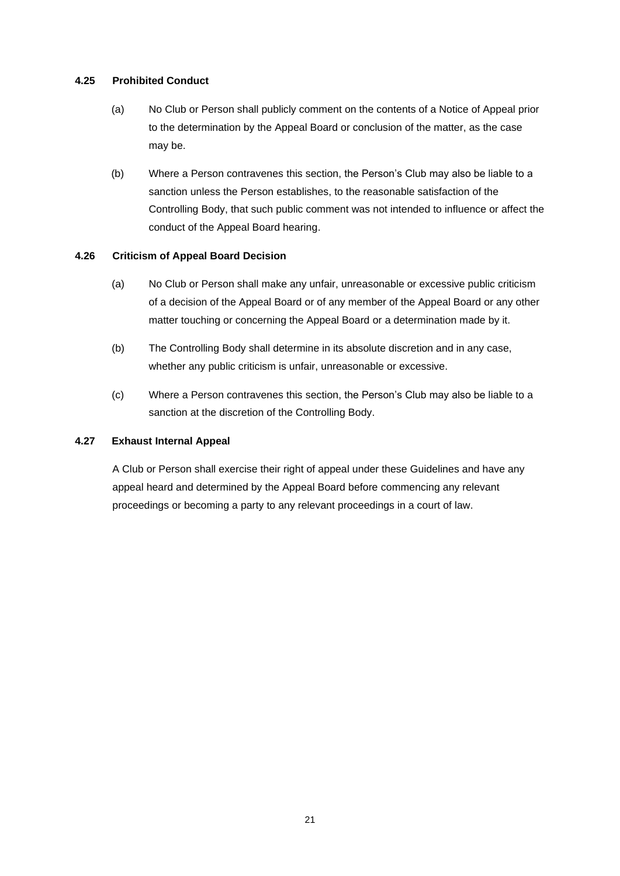## **4.25 Prohibited Conduct**

- (a) No Club or Person shall publicly comment on the contents of a Notice of Appeal prior to the determination by the Appeal Board or conclusion of the matter, as the case may be.
- (b) Where a Person contravenes this section, the Person's Club may also be liable to a sanction unless the Person establishes, to the reasonable satisfaction of the Controlling Body, that such public comment was not intended to influence or affect the conduct of the Appeal Board hearing.

## **4.26 Criticism of Appeal Board Decision**

- (a) No Club or Person shall make any unfair, unreasonable or excessive public criticism of a decision of the Appeal Board or of any member of the Appeal Board or any other matter touching or concerning the Appeal Board or a determination made by it.
- (b) The Controlling Body shall determine in its absolute discretion and in any case, whether any public criticism is unfair, unreasonable or excessive.
- (c) Where a Person contravenes this section, the Person's Club may also be liable to a sanction at the discretion of the Controlling Body.

## **4.27 Exhaust Internal Appeal**

A Club or Person shall exercise their right of appeal under these Guidelines and have any appeal heard and determined by the Appeal Board before commencing any relevant proceedings or becoming a party to any relevant proceedings in a court of law.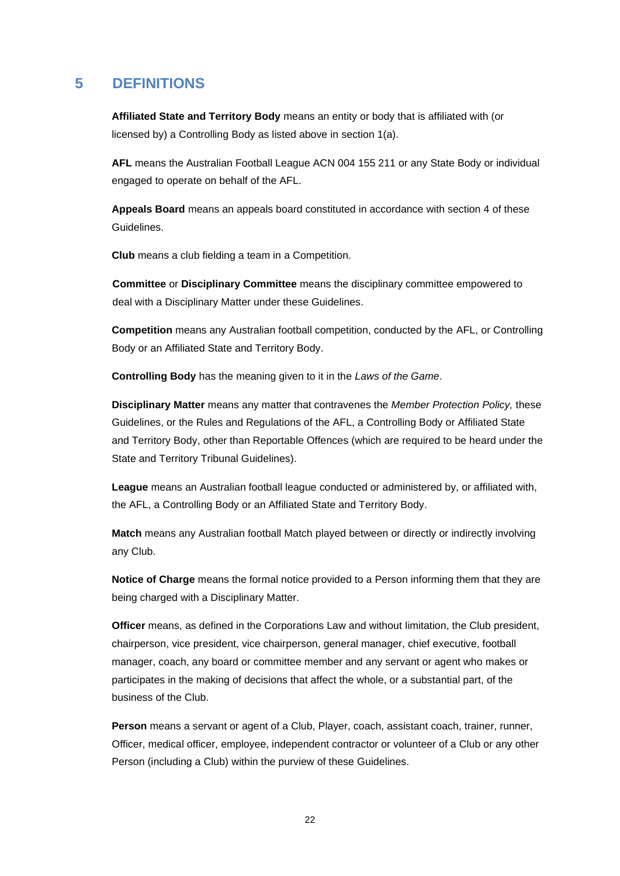## **5 DEFINITIONS**

**Affiliated State and Territory Body** means an entity or body that is affiliated with (or licensed by) a Controlling Body as listed above in section 1(a).

**AFL** means the Australian Football League ACN 004 155 211 or any State Body or individual engaged to operate on behalf of the AFL.

**Appeals Board** means an appeals board constituted in accordance with section 4 of these Guidelines.

**Club** means a club fielding a team in a Competition.

**Committee** or **Disciplinary Committee** means the disciplinary committee empowered to deal with a Disciplinary Matter under these Guidelines.

**Competition** means any Australian football competition, conducted by the AFL, or Controlling Body or an Affiliated State and Territory Body.

**Controlling Body** has the meaning given to it in the *Laws of the Game*.

**Disciplinary Matter** means any matter that contravenes the *Member Protection Policy,* these Guidelines, or the Rules and Regulations of the AFL, a Controlling Body or Affiliated State and Territory Body, other than Reportable Offences (which are required to be heard under the State and Territory Tribunal Guidelines).

**League** means an Australian football league conducted or administered by, or affiliated with, the AFL, a Controlling Body or an Affiliated State and Territory Body.

**Match** means any Australian football Match played between or directly or indirectly involving any Club.

**Notice of Charge** means the formal notice provided to a Person informing them that they are being charged with a Disciplinary Matter.

**Officer** means, as defined in the Corporations Law and without limitation, the Club president, chairperson, vice president, vice chairperson, general manager, chief executive, football manager, coach, any board or committee member and any servant or agent who makes or participates in the making of decisions that affect the whole, or a substantial part, of the business of the Club.

**Person** means a servant or agent of a Club, Player, coach, assistant coach, trainer, runner, Officer, medical officer, employee, independent contractor or volunteer of a Club or any other Person (including a Club) within the purview of these Guidelines.